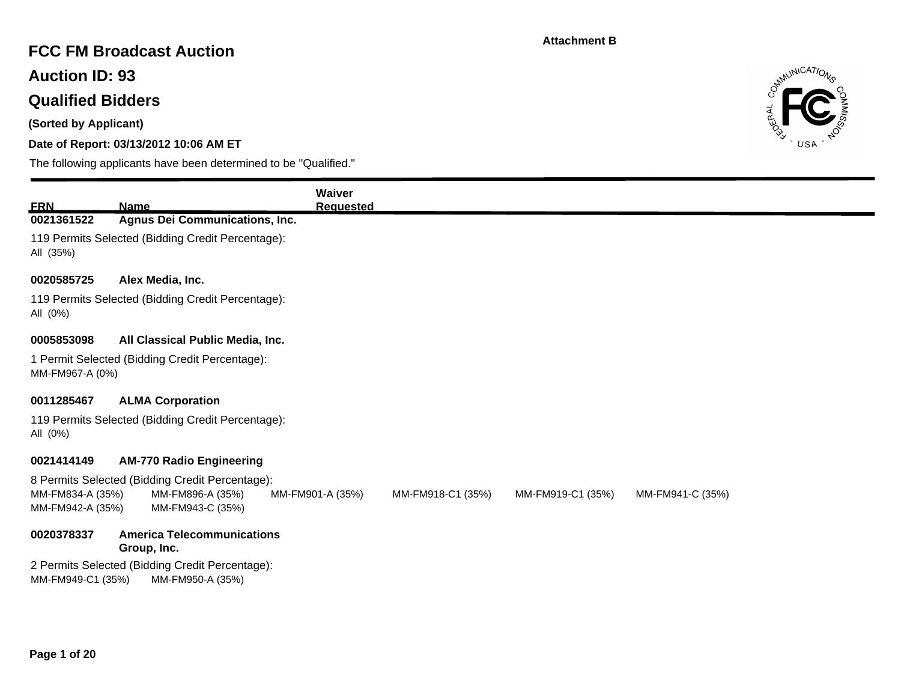### **FCC FM Broadcast Auction**

**Auction ID: 93**

## **Qualified Bidders**

**(Sorted by Applicant)**

### **Date of Report: 03/13/2012 10:06 AM ET**



|                                      |                                                                     | Waiver           |                   |                   |                  |
|--------------------------------------|---------------------------------------------------------------------|------------------|-------------------|-------------------|------------------|
| <b>ERN</b>                           | <b>Name</b>                                                         | <b>Requested</b> |                   |                   |                  |
| 0021361522                           | <b>Agnus Dei Communications, Inc.</b>                               |                  |                   |                   |                  |
| All (35%)                            | 119 Permits Selected (Bidding Credit Percentage):                   |                  |                   |                   |                  |
| 0020585725                           | Alex Media, Inc.                                                    |                  |                   |                   |                  |
| All (0%)                             | 119 Permits Selected (Bidding Credit Percentage):                   |                  |                   |                   |                  |
| 0005853098                           | All Classical Public Media, Inc.                                    |                  |                   |                   |                  |
| MM-FM967-A (0%)                      | 1 Permit Selected (Bidding Credit Percentage):                      |                  |                   |                   |                  |
| 0011285467                           | <b>ALMA Corporation</b>                                             |                  |                   |                   |                  |
| All (0%)                             | 119 Permits Selected (Bidding Credit Percentage):                   |                  |                   |                   |                  |
| 0021414149                           | <b>AM-770 Radio Engineering</b>                                     |                  |                   |                   |                  |
|                                      | 8 Permits Selected (Bidding Credit Percentage):                     |                  |                   |                   |                  |
| MM-FM834-A (35%)<br>MM-FM942-A (35%) | MM-FM896-A (35%)<br>MM-FM943-C (35%)                                | MM-FM901-A (35%) | MM-FM918-C1 (35%) | MM-FM919-C1 (35%) | MM-FM941-C (35%) |
| 0020378337                           | <b>America Telecommunications</b><br>Group, Inc.                    |                  |                   |                   |                  |
| MM-FM949-C1 (35%)                    | 2 Permits Selected (Bidding Credit Percentage):<br>MM-FM950-A (35%) |                  |                   |                   |                  |
|                                      |                                                                     |                  |                   |                   |                  |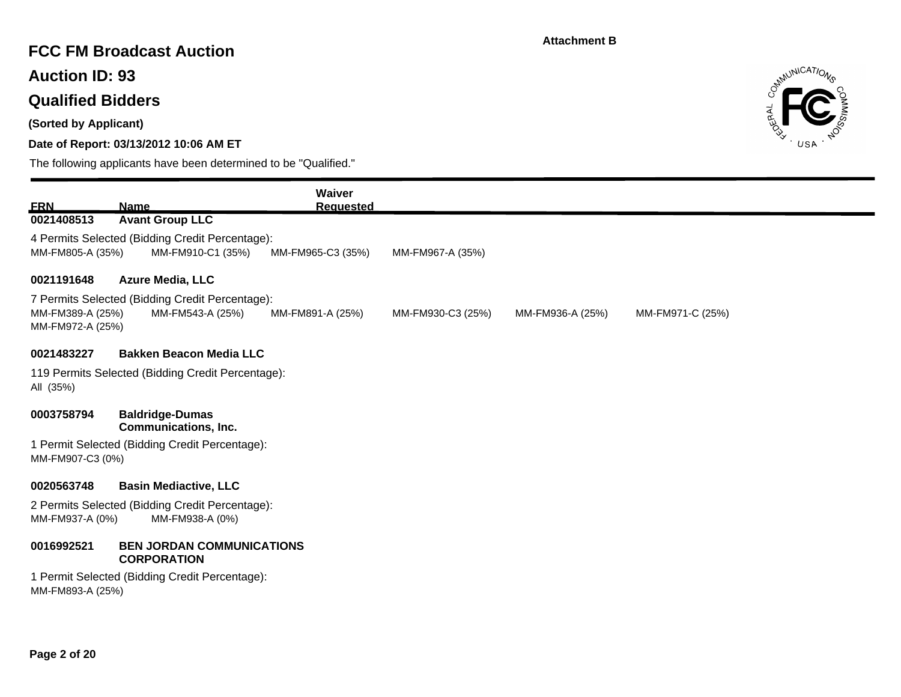### **FCC FM Broadcast Auction**

**Auction ID: 93**

# **Qualified Bidders**

**(Sorted by Applicant)**

### **Date of Report: 03/13/2012 10:06 AM ET**



| <b>ERN</b>                           | <b>Name</b>                                                          | Waiver<br><b>Requested</b> |                   |                  |                  |
|--------------------------------------|----------------------------------------------------------------------|----------------------------|-------------------|------------------|------------------|
| 0021408513                           | <b>Avant Group LLC</b>                                               |                            |                   |                  |                  |
| MM-FM805-A (35%)                     | 4 Permits Selected (Bidding Credit Percentage):<br>MM-FM910-C1 (35%) | MM-FM965-C3 (35%)          | MM-FM967-A (35%)  |                  |                  |
| 0021191648                           | <b>Azure Media, LLC</b>                                              |                            |                   |                  |                  |
| MM-FM389-A (25%)<br>MM-FM972-A (25%) | 7 Permits Selected (Bidding Credit Percentage):<br>MM-FM543-A (25%)  | MM-FM891-A (25%)           | MM-FM930-C3 (25%) | MM-FM936-A (25%) | MM-FM971-C (25%) |
| 0021483227                           | <b>Bakken Beacon Media LLC</b>                                       |                            |                   |                  |                  |
| All (35%)                            | 119 Permits Selected (Bidding Credit Percentage):                    |                            |                   |                  |                  |
| 0003758794                           | <b>Baldridge-Dumas</b><br><b>Communications, Inc.</b>                |                            |                   |                  |                  |
| MM-FM907-C3 (0%)                     | 1 Permit Selected (Bidding Credit Percentage):                       |                            |                   |                  |                  |
| 0020563748                           | <b>Basin Mediactive, LLC</b>                                         |                            |                   |                  |                  |
| MM-FM937-A (0%)                      | 2 Permits Selected (Bidding Credit Percentage):<br>MM-FM938-A (0%)   |                            |                   |                  |                  |
| 0016992521                           | <b>BEN JORDAN COMMUNICATIONS</b><br><b>CORPORATION</b>               |                            |                   |                  |                  |
| MM-FM893-A (25%)                     | 1 Permit Selected (Bidding Credit Percentage):                       |                            |                   |                  |                  |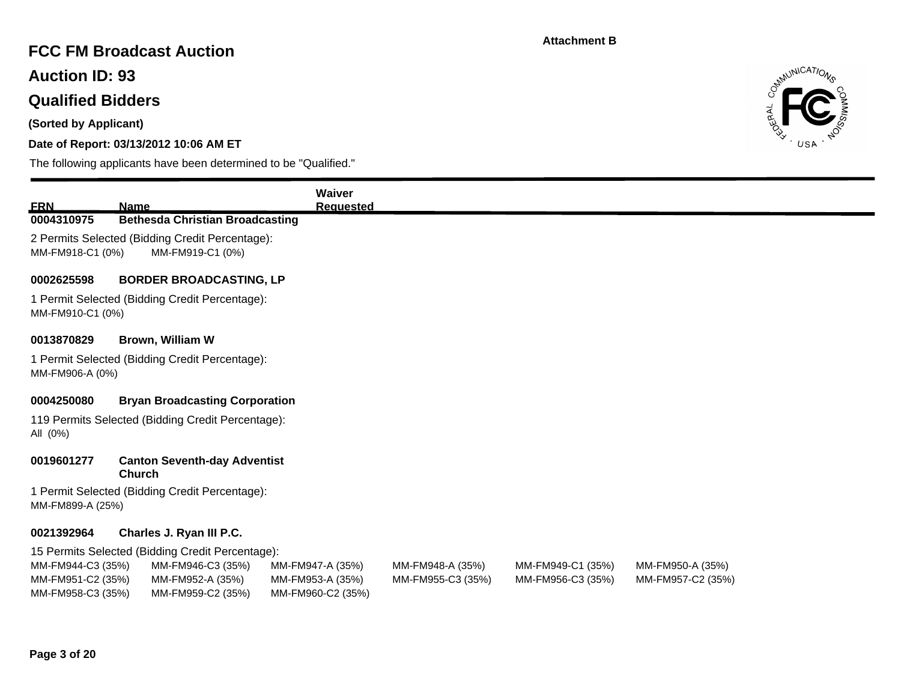## **FCC FM Broadcast Auction**

**Auction ID: 93**

# **Qualified Bidders**

**(Sorted by Applicant)**

### **Date of Report: 03/13/2012 10:06 AM ET**



| <b>ERN</b>                                                  |                                                                                                                | Waiver                                                    |                                       |                                        |                                       |
|-------------------------------------------------------------|----------------------------------------------------------------------------------------------------------------|-----------------------------------------------------------|---------------------------------------|----------------------------------------|---------------------------------------|
| 0004310975                                                  | <b>Name</b><br><b>Bethesda Christian Broadcasting</b>                                                          | <b>Requested</b>                                          |                                       |                                        |                                       |
| MM-FM918-C1 (0%)                                            | 2 Permits Selected (Bidding Credit Percentage):<br>MM-FM919-C1 (0%)                                            |                                                           |                                       |                                        |                                       |
| 0002625598                                                  | <b>BORDER BROADCASTING, LP</b>                                                                                 |                                                           |                                       |                                        |                                       |
| MM-FM910-C1 (0%)                                            | 1 Permit Selected (Bidding Credit Percentage):                                                                 |                                                           |                                       |                                        |                                       |
| 0013870829                                                  | <b>Brown, William W</b>                                                                                        |                                                           |                                       |                                        |                                       |
| MM-FM906-A (0%)                                             | 1 Permit Selected (Bidding Credit Percentage):                                                                 |                                                           |                                       |                                        |                                       |
| 0004250080                                                  | <b>Bryan Broadcasting Corporation</b>                                                                          |                                                           |                                       |                                        |                                       |
| All (0%)                                                    | 119 Permits Selected (Bidding Credit Percentage):                                                              |                                                           |                                       |                                        |                                       |
| 0019601277                                                  | <b>Canton Seventh-day Adventist</b><br><b>Church</b>                                                           |                                                           |                                       |                                        |                                       |
| MM-FM899-A (25%)                                            | 1 Permit Selected (Bidding Credit Percentage):                                                                 |                                                           |                                       |                                        |                                       |
| 0021392964                                                  | Charles J. Ryan III P.C.                                                                                       |                                                           |                                       |                                        |                                       |
| MM-FM944-C3 (35%)<br>MM-FM951-C2 (35%)<br>MM-FM958-C3 (35%) | 15 Permits Selected (Bidding Credit Percentage):<br>MM-FM946-C3 (35%)<br>MM-FM952-A (35%)<br>MM-FM959-C2 (35%) | MM-FM947-A (35%)<br>MM-FM953-A (35%)<br>MM-FM960-C2 (35%) | MM-FM948-A (35%)<br>MM-FM955-C3 (35%) | MM-FM949-C1 (35%)<br>MM-FM956-C3 (35%) | MM-FM950-A (35%)<br>MM-FM957-C2 (35%) |
|                                                             |                                                                                                                |                                                           |                                       |                                        |                                       |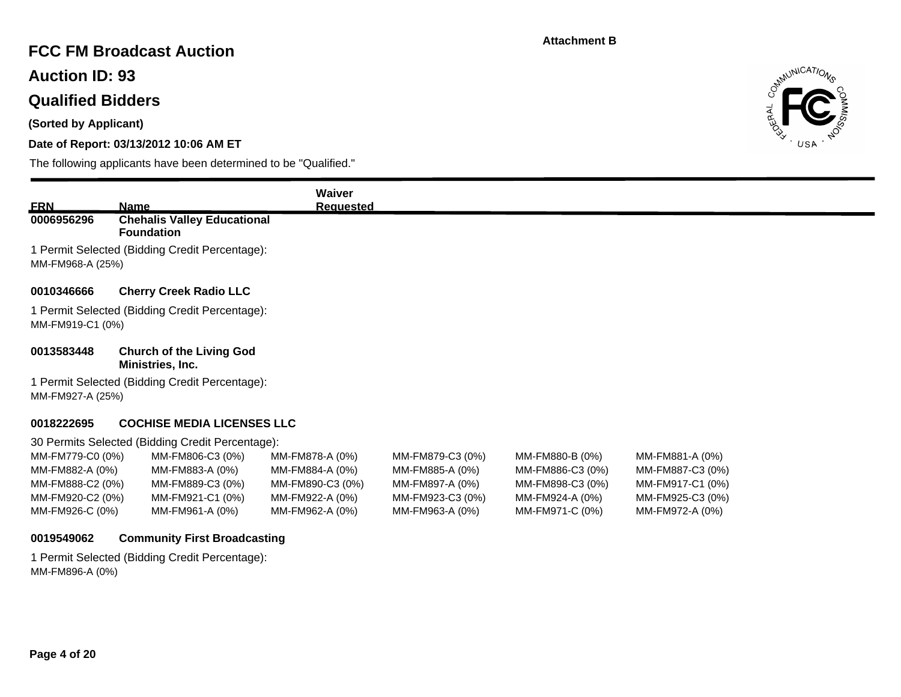## **FCC FM Broadcast Auction**

**Auction ID: 93**

# **Qualified Bidders**

**(Sorted by Applicant)**

### **Date of Report: 03/13/2012 10:06 AM ET**

The following applicants have been determined to be "Qualified."



| <b>ERN</b>                                                                                     | <u>Name</u>                                                                                                                                        | Waiver<br><b>Requested</b>                                                                   |                                                                                               |                                                                                               |                                                                                                |
|------------------------------------------------------------------------------------------------|----------------------------------------------------------------------------------------------------------------------------------------------------|----------------------------------------------------------------------------------------------|-----------------------------------------------------------------------------------------------|-----------------------------------------------------------------------------------------------|------------------------------------------------------------------------------------------------|
| 0006956296                                                                                     | <b>Chehalis Valley Educational</b><br><b>Foundation</b>                                                                                            |                                                                                              |                                                                                               |                                                                                               |                                                                                                |
| MM-FM968-A (25%)                                                                               | 1 Permit Selected (Bidding Credit Percentage):                                                                                                     |                                                                                              |                                                                                               |                                                                                               |                                                                                                |
| 0010346666                                                                                     | <b>Cherry Creek Radio LLC</b>                                                                                                                      |                                                                                              |                                                                                               |                                                                                               |                                                                                                |
| MM-FM919-C1 (0%)                                                                               | 1 Permit Selected (Bidding Credit Percentage):                                                                                                     |                                                                                              |                                                                                               |                                                                                               |                                                                                                |
| 0013583448                                                                                     | <b>Church of the Living God</b><br>Ministries, Inc.                                                                                                |                                                                                              |                                                                                               |                                                                                               |                                                                                                |
| MM-FM927-A (25%)                                                                               | 1 Permit Selected (Bidding Credit Percentage):                                                                                                     |                                                                                              |                                                                                               |                                                                                               |                                                                                                |
| 0018222695                                                                                     | <b>COCHISE MEDIA LICENSES LLC</b>                                                                                                                  |                                                                                              |                                                                                               |                                                                                               |                                                                                                |
| MM-FM779-C0 (0%)<br>MM-FM882-A (0%)<br>MM-FM888-C2 (0%)<br>MM-FM920-C2 (0%)<br>MM-FM926-C (0%) | 30 Permits Selected (Bidding Credit Percentage):<br>MM-FM806-C3 (0%)<br>MM-FM883-A (0%)<br>MM-FM889-C3 (0%)<br>MM-FM921-C1 (0%)<br>MM-FM961-A (0%) | MM-FM878-A (0%)<br>MM-FM884-A (0%)<br>MM-FM890-C3 (0%)<br>MM-FM922-A (0%)<br>MM-FM962-A (0%) | MM-FM879-C3 (0%)<br>MM-FM885-A (0%)<br>MM-FM897-A (0%)<br>MM-FM923-C3 (0%)<br>MM-FM963-A (0%) | MM-FM880-B (0%)<br>MM-FM886-C3 (0%)<br>MM-FM898-C3 (0%)<br>MM-FM924-A (0%)<br>MM-FM971-C (0%) | MM-FM881-A (0%)<br>MM-FM887-C3 (0%)<br>MM-FM917-C1 (0%)<br>MM-FM925-C3 (0%)<br>MM-FM972-A (0%) |

### **0019549062 Community First Broadcasting**

1 Permit Selected (Bidding Credit Percentage): MM-FM896-A (0%)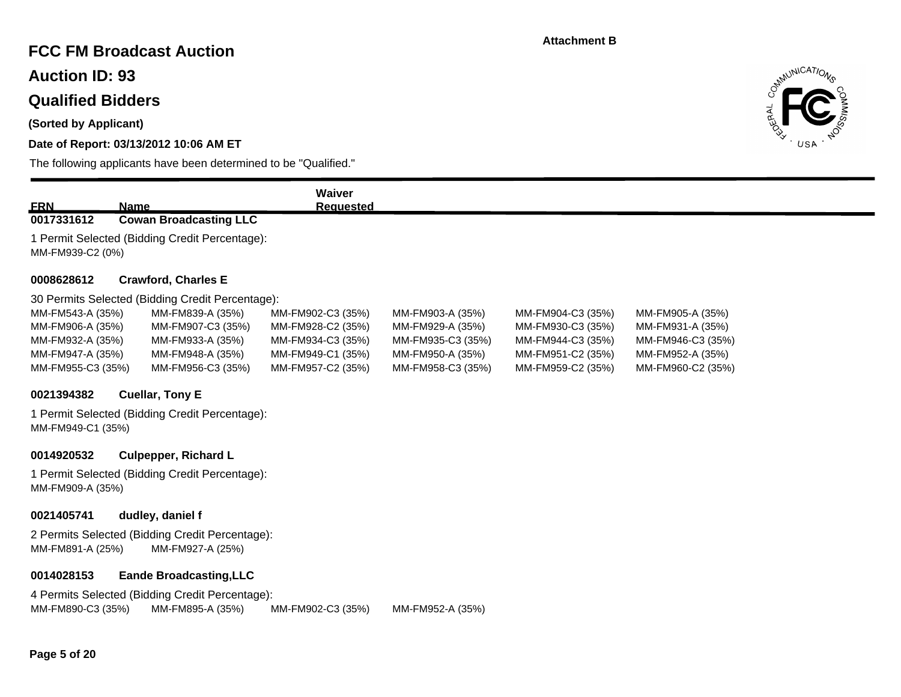## **FCC FM Broadcast Auction**

**Auction ID: 93**

### **Qualified Bidders**

**(Sorted by Applicant)**

### **Date of Report: 03/13/2012 10:06 AM ET**

The following applicants have been determined to be "Qualified."



| <b>ERN</b>        | <b>Name</b>                                      | Waiver<br><b>Requested</b> |                   |                   |                   |  |  |  |
|-------------------|--------------------------------------------------|----------------------------|-------------------|-------------------|-------------------|--|--|--|
| 0017331612        | <b>Cowan Broadcasting LLC</b>                    |                            |                   |                   |                   |  |  |  |
| MM-FM939-C2 (0%)  | 1 Permit Selected (Bidding Credit Percentage):   |                            |                   |                   |                   |  |  |  |
| 0008628612        | <b>Crawford, Charles E</b>                       |                            |                   |                   |                   |  |  |  |
|                   | 30 Permits Selected (Bidding Credit Percentage): |                            |                   |                   |                   |  |  |  |
| MM-FM543-A (35%)  | MM-FM839-A (35%)                                 | MM-FM902-C3 (35%)          | MM-FM903-A (35%)  | MM-FM904-C3 (35%) | MM-FM905-A (35%)  |  |  |  |
| MM-FM906-A (35%)  | MM-FM907-C3 (35%)                                | MM-FM928-C2 (35%)          | MM-FM929-A (35%)  | MM-FM930-C3 (35%) | MM-FM931-A (35%)  |  |  |  |
| MM-FM932-A (35%)  | MM-FM933-A (35%)                                 | MM-FM934-C3 (35%)          | MM-FM935-C3 (35%) | MM-FM944-C3 (35%) | MM-FM946-C3 (35%) |  |  |  |
| MM-FM947-A (35%)  | MM-FM948-A (35%)                                 | MM-FM949-C1 (35%)          | MM-FM950-A (35%)  | MM-FM951-C2 (35%) | MM-FM952-A (35%)  |  |  |  |
| MM-FM955-C3 (35%) | MM-FM956-C3 (35%)                                | MM-FM957-C2 (35%)          | MM-FM958-C3 (35%) | MM-FM959-C2 (35%) | MM-FM960-C2 (35%) |  |  |  |
| 0021394382        | <b>Cuellar, Tony E</b>                           |                            |                   |                   |                   |  |  |  |
| MM-FM949-C1 (35%) | 1 Permit Selected (Bidding Credit Percentage):   |                            |                   |                   |                   |  |  |  |
| 0014920532        | <b>Culpepper, Richard L</b>                      |                            |                   |                   |                   |  |  |  |
| MM-FM909-A (35%)  | 1 Permit Selected (Bidding Credit Percentage):   |                            |                   |                   |                   |  |  |  |
| 0021405741        | dudley, daniel f                                 |                            |                   |                   |                   |  |  |  |
|                   | 2 Permits Selected (Bidding Credit Percentage):  |                            |                   |                   |                   |  |  |  |

MM-FM891-A (25%) MM-FM927-A (25%)

#### **0014028153 Eande Broadcasting,LLC**

4 Permits Selected (Bidding Credit Percentage): MM-FM890-C3 (35%) MM-FM895-A (35%) MM-FM902-C3 (35%) MM-FM952-A (35%)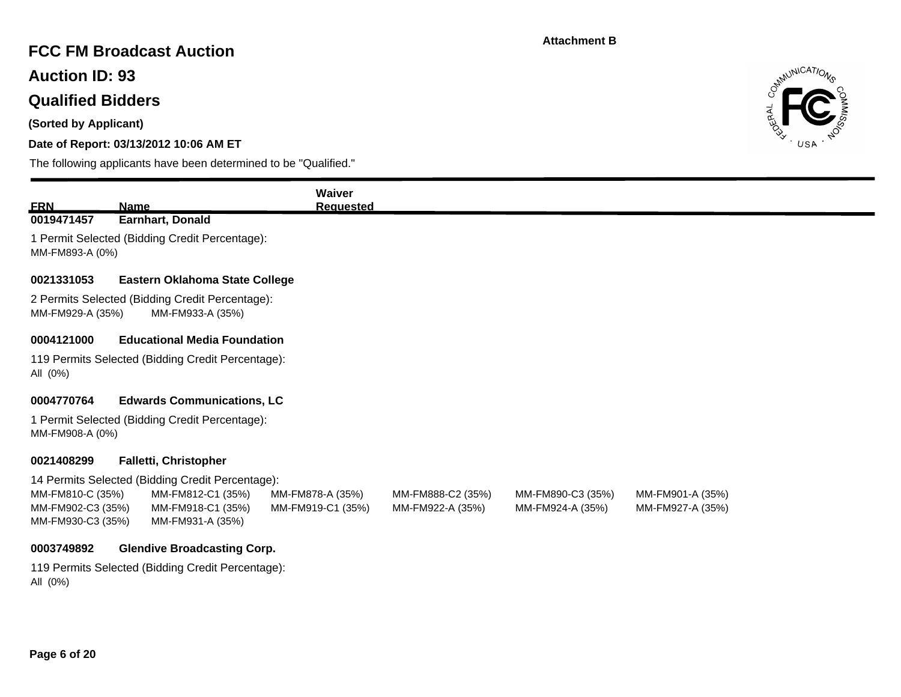## **FCC FM Broadcast Auction**

**Auction ID: 93**

# **Qualified Bidders**

**(Sorted by Applicant)**

### **Date of Report: 03/13/2012 10:06 AM ET**

The following applicants have been determined to be "Qualified."



|                                        |                                                                     | Waiver            |                   |                   |                  |  |
|----------------------------------------|---------------------------------------------------------------------|-------------------|-------------------|-------------------|------------------|--|
| <b>ERN</b><br>0019471457               | <b>Name</b><br>Earnhart, Donald                                     | <b>Requested</b>  |                   |                   |                  |  |
| MM-FM893-A (0%)                        | 1 Permit Selected (Bidding Credit Percentage):                      |                   |                   |                   |                  |  |
| 0021331053                             | Eastern Oklahoma State College                                      |                   |                   |                   |                  |  |
| MM-FM929-A (35%)                       | 2 Permits Selected (Bidding Credit Percentage):<br>MM-FM933-A (35%) |                   |                   |                   |                  |  |
| 0004121000                             | <b>Educational Media Foundation</b>                                 |                   |                   |                   |                  |  |
| All (0%)                               | 119 Permits Selected (Bidding Credit Percentage):                   |                   |                   |                   |                  |  |
| 0004770764                             | <b>Edwards Communications, LC</b>                                   |                   |                   |                   |                  |  |
| MM-FM908-A (0%)                        | 1 Permit Selected (Bidding Credit Percentage):                      |                   |                   |                   |                  |  |
| 0021408299                             | <b>Falletti, Christopher</b>                                        |                   |                   |                   |                  |  |
|                                        | 14 Permits Selected (Bidding Credit Percentage):                    |                   |                   |                   |                  |  |
| MM-FM810-C (35%)                       | MM-FM812-C1 (35%)                                                   | MM-FM878-A (35%)  | MM-FM888-C2 (35%) | MM-FM890-C3 (35%) | MM-FM901-A (35%) |  |
| MM-FM902-C3 (35%)<br>MM-FM930-C3 (35%) | MM-FM918-C1 (35%)<br>MM-FM931-A (35%)                               | MM-FM919-C1 (35%) | MM-FM922-A (35%)  | MM-FM924-A (35%)  | MM-FM927-A (35%) |  |
| 0003749892                             | <b>Glendive Broadcasting Corp.</b>                                  |                   |                   |                   |                  |  |
|                                        | 119 Permits Selected (Bidding Credit Percentage):                   |                   |                   |                   |                  |  |

All (0%)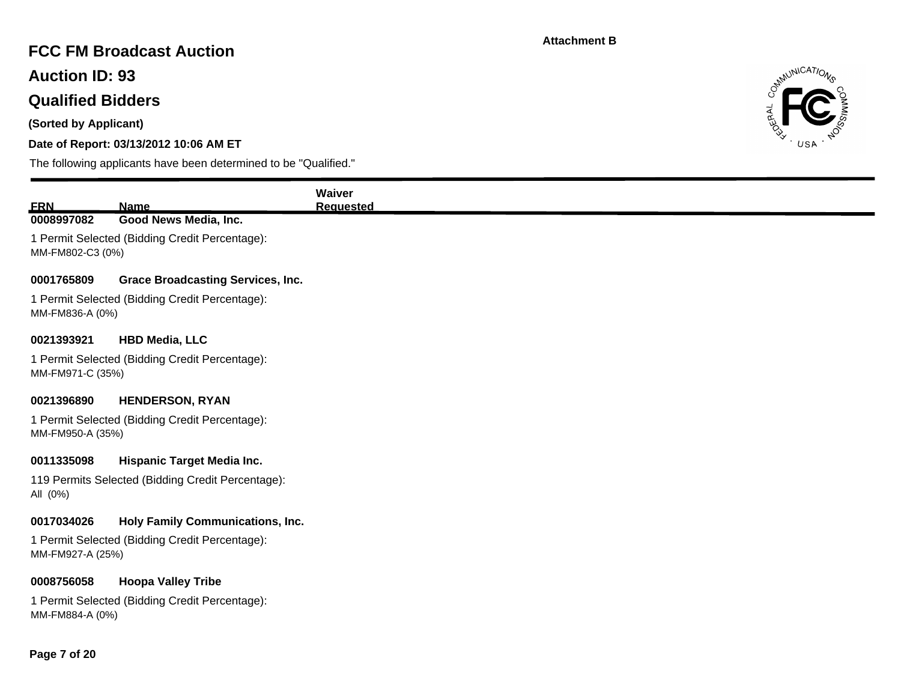# **FCC FM Broadcast Auction**

**Auction ID: 93**

## **Qualified Bidders**

**(Sorted by Applicant)**

### **Date of Report: 03/13/2012 10:06 AM ET**



| <b>FRN</b>       | <b>Name</b>                                       | <b>Waiver</b>    |
|------------------|---------------------------------------------------|------------------|
| 0008997082       | Good News Media, Inc.                             | <b>Requested</b> |
|                  | 1 Permit Selected (Bidding Credit Percentage):    |                  |
| MM-FM802-C3 (0%) |                                                   |                  |
|                  |                                                   |                  |
| 0001765809       | <b>Grace Broadcasting Services, Inc.</b>          |                  |
|                  | 1 Permit Selected (Bidding Credit Percentage):    |                  |
| MM-FM836-A (0%)  |                                                   |                  |
| 0021393921       | <b>HBD Media, LLC</b>                             |                  |
|                  | 1 Permit Selected (Bidding Credit Percentage):    |                  |
| MM-FM971-C (35%) |                                                   |                  |
|                  |                                                   |                  |
| 0021396890       | <b>HENDERSON, RYAN</b>                            |                  |
|                  | 1 Permit Selected (Bidding Credit Percentage):    |                  |
| MM-FM950-A (35%) |                                                   |                  |
| 0011335098       | <b>Hispanic Target Media Inc.</b>                 |                  |
|                  | 119 Permits Selected (Bidding Credit Percentage): |                  |
| All (0%)         |                                                   |                  |
| 0017034026       | Holy Family Communications, Inc.                  |                  |
|                  |                                                   |                  |
| MM-FM927-A (25%) | 1 Permit Selected (Bidding Credit Percentage):    |                  |
|                  |                                                   |                  |
| 0008756058       | <b>Hoopa Valley Tribe</b>                         |                  |
|                  | 1 Permit Selected (Bidding Credit Percentage):    |                  |
| MM-FM884-A (0%)  |                                                   |                  |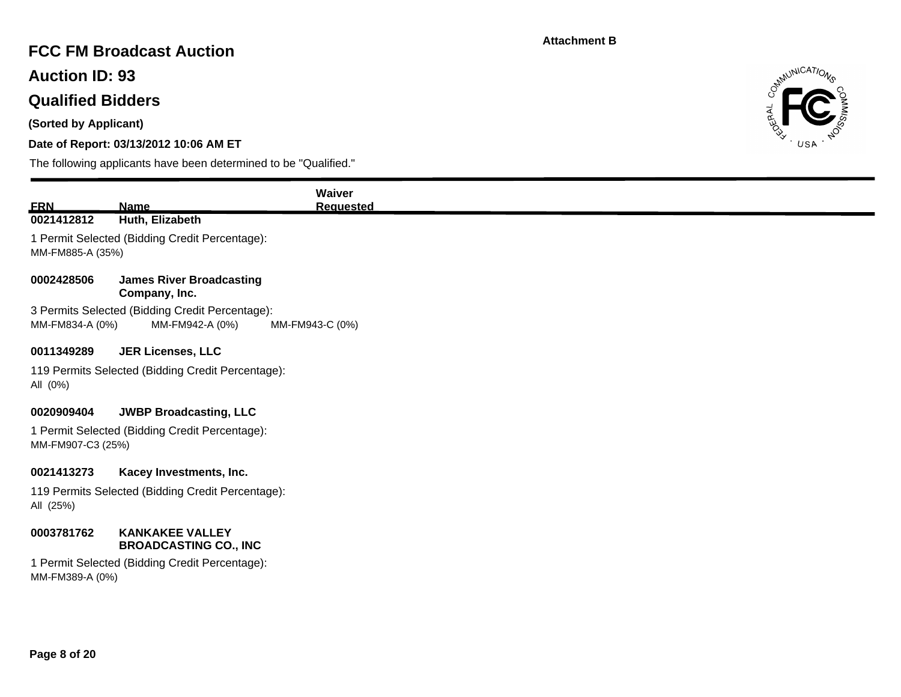## **FCC FM Broadcast Auction**

**Auction ID: 93**

## **Qualified Bidders**

**(Sorted by Applicant)**

### **Date of Report: 03/13/2012 10:06 AM ET**



| <b>ERN</b>                      | <b>Name</b>                                                                                              | Waiver<br><b>Requested</b> |
|---------------------------------|----------------------------------------------------------------------------------------------------------|----------------------------|
| 0021412812                      | Huth, Elizabeth                                                                                          |                            |
| MM-FM885-A (35%)                | 1 Permit Selected (Bidding Credit Percentage):                                                           |                            |
| 0002428506                      | <b>James River Broadcasting</b><br>Company, Inc.                                                         |                            |
| MM-FM834-A (0%)                 | 3 Permits Selected (Bidding Credit Percentage):<br>MM-FM942-A (0%)                                       | MM-FM943-C (0%)            |
| 0011349289                      | <b>JER Licenses, LLC</b>                                                                                 |                            |
| All (0%)                        | 119 Permits Selected (Bidding Credit Percentage):                                                        |                            |
| 0020909404<br>MM-FM907-C3 (25%) | <b>JWBP Broadcasting, LLC</b><br>1 Permit Selected (Bidding Credit Percentage):                          |                            |
| 0021413273<br>All (25%)         | Kacey Investments, Inc.<br>119 Permits Selected (Bidding Credit Percentage):                             |                            |
| 0003781762<br>MM-FM389-A (0%)   | <b>KANKAKEE VALLEY</b><br><b>BROADCASTING CO., INC</b><br>1 Permit Selected (Bidding Credit Percentage): |                            |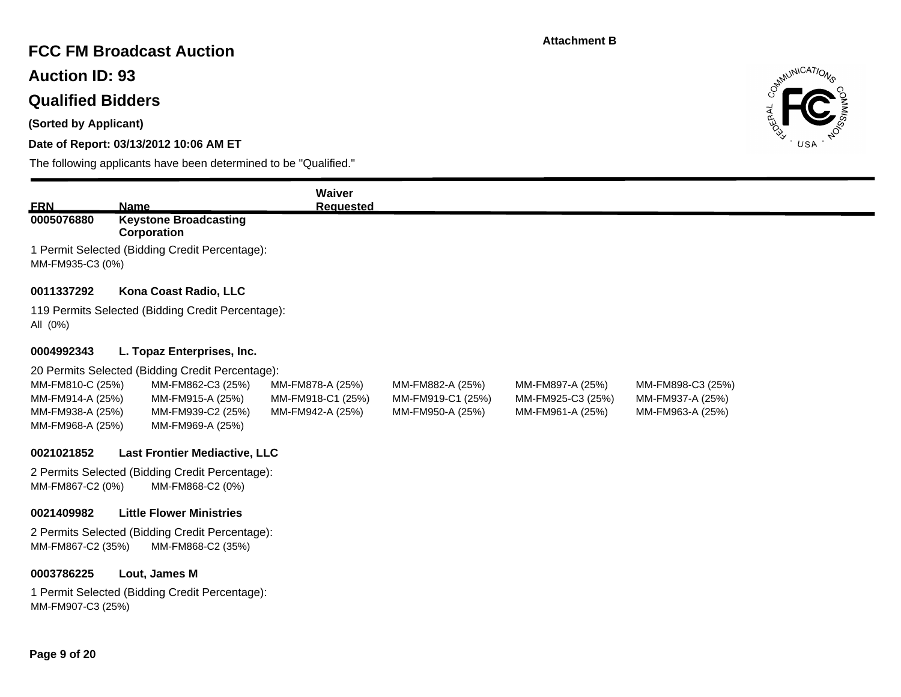### **FCC FM Broadcast Auction**

**Auction ID: 93**

## **Qualified Bidders**

**(Sorted by Applicant)**

### **Date of Report: 03/13/2012 10:06 AM ET**



| <b>ERN</b>                           | <b>Name</b>                                       | Waiver<br><b>Requested</b> |                   |                   |                   |  |
|--------------------------------------|---------------------------------------------------|----------------------------|-------------------|-------------------|-------------------|--|
| 0005076880                           | <b>Keystone Broadcasting</b>                      |                            |                   |                   |                   |  |
|                                      | Corporation                                       |                            |                   |                   |                   |  |
|                                      | 1 Permit Selected (Bidding Credit Percentage):    |                            |                   |                   |                   |  |
| MM-FM935-C3 (0%)                     |                                                   |                            |                   |                   |                   |  |
| 0011337292                           | Kona Coast Radio, LLC                             |                            |                   |                   |                   |  |
|                                      | 119 Permits Selected (Bidding Credit Percentage): |                            |                   |                   |                   |  |
| All (0%)                             |                                                   |                            |                   |                   |                   |  |
|                                      |                                                   |                            |                   |                   |                   |  |
| 0004992343                           | L. Topaz Enterprises, Inc.                        |                            |                   |                   |                   |  |
|                                      | 20 Permits Selected (Bidding Credit Percentage):  |                            |                   |                   |                   |  |
| MM-FM810-C (25%)                     | MM-FM862-C3 (25%)                                 | MM-FM878-A (25%)           | MM-FM882-A (25%)  | MM-FM897-A (25%)  | MM-FM898-C3 (25%) |  |
| MM-FM914-A (25%)                     | MM-FM915-A (25%)                                  | MM-FM918-C1 (25%)          | MM-FM919-C1 (25%) | MM-FM925-C3 (25%) | MM-FM937-A (25%)  |  |
| MM-FM938-A (25%)<br>MM-FM968-A (25%) | MM-FM939-C2 (25%)<br>MM-FM969-A (25%)             | MM-FM942-A (25%)           | MM-FM950-A (25%)  | MM-FM961-A (25%)  | MM-FM963-A (25%)  |  |
|                                      |                                                   |                            |                   |                   |                   |  |
| 0021021852                           | <b>Last Frontier Mediactive, LLC</b>              |                            |                   |                   |                   |  |
|                                      | 2 Permits Selected (Bidding Credit Percentage):   |                            |                   |                   |                   |  |
| MM-FM867-C2 (0%)                     | MM-FM868-C2 (0%)                                  |                            |                   |                   |                   |  |
| 0021409982                           | <b>Little Flower Ministries</b>                   |                            |                   |                   |                   |  |
|                                      | 2 Permits Selected (Bidding Credit Percentage):   |                            |                   |                   |                   |  |
| MM-FM867-C2 (35%)                    | MM-FM868-C2 (35%)                                 |                            |                   |                   |                   |  |
|                                      |                                                   |                            |                   |                   |                   |  |
| 0003786225                           | Lout, James M                                     |                            |                   |                   |                   |  |
|                                      | 1 Permit Selected (Bidding Credit Percentage):    |                            |                   |                   |                   |  |
| MM-FM907-C3 (25%)                    |                                                   |                            |                   |                   |                   |  |
|                                      |                                                   |                            |                   |                   |                   |  |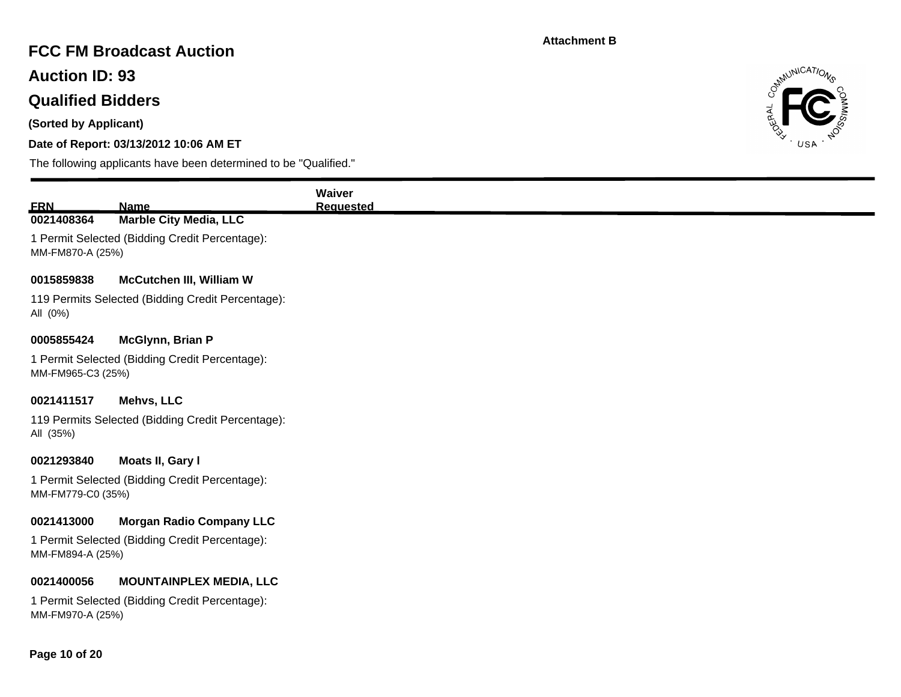# **FCC FM Broadcast Auction**

**Auction ID: 93**

## **Qualified Bidders**

**(Sorted by Applicant)**

### **Date of Report: 03/13/2012 10:06 AM ET**



| <b>ERN</b><br>0021408364 | <b>Name</b><br><b>Marble City Media, LLC</b>      |  |
|--------------------------|---------------------------------------------------|--|
| MM-FM870-A (25%)         | 1 Permit Selected (Bidding Credit Percentage):    |  |
| 0015859838               | <b>McCutchen III, William W</b>                   |  |
| All (0%)                 | 119 Permits Selected (Bidding Credit Percentage): |  |
| 0005855424               | McGlynn, Brian P                                  |  |
| MM-FM965-C3 (25%)        | 1 Permit Selected (Bidding Credit Percentage):    |  |
| 0021411517               | Mehvs, LLC                                        |  |
| All (35%)                | 119 Permits Selected (Bidding Credit Percentage): |  |
| 0021293840               | Moats II, Gary I                                  |  |
| MM-FM779-C0 (35%)        | 1 Permit Selected (Bidding Credit Percentage):    |  |
| 0021413000               | <b>Morgan Radio Company LLC</b>                   |  |
| MM-FM894-A (25%)         | 1 Permit Selected (Bidding Credit Percentage):    |  |
| 0021400056               | <b>MOUNTAINPLEX MEDIA, LLC</b>                    |  |
| MM-FM970-A (25%)         | 1 Permit Selected (Bidding Credit Percentage):    |  |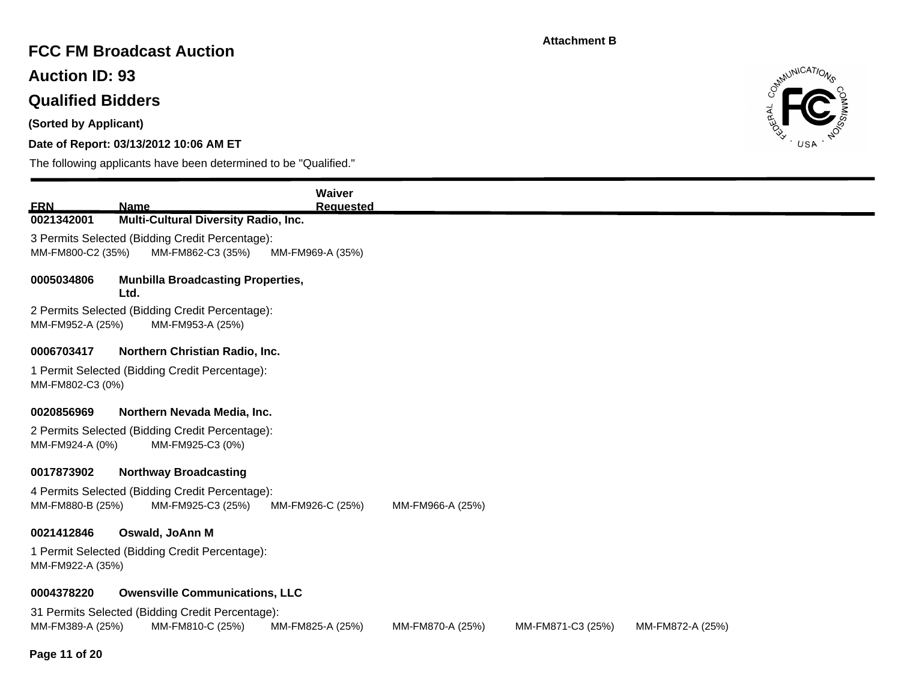## **FCC FM Broadcast Auction**

**Auction ID: 93**

# **Qualified Bidders**

**(Sorted by Applicant)**

### **Date of Report: 03/13/2012 10:06 AM ET**



| <u>FRN</u>        | Name                                                                                    | <b>Waiver</b><br><b>Requested</b> |                  |                   |                  |  |  |  |  |
|-------------------|-----------------------------------------------------------------------------------------|-----------------------------------|------------------|-------------------|------------------|--|--|--|--|
| 0021342001        | <b>Multi-Cultural Diversity Radio, Inc.</b>                                             |                                   |                  |                   |                  |  |  |  |  |
| MM-FM800-C2 (35%) | 3 Permits Selected (Bidding Credit Percentage):<br>MM-FM862-C3 (35%)                    | MM-FM969-A (35%)                  |                  |                   |                  |  |  |  |  |
| 0005034806        | <b>Munbilla Broadcasting Properties,</b><br>Ltd.                                        |                                   |                  |                   |                  |  |  |  |  |
|                   | 2 Permits Selected (Bidding Credit Percentage):<br>MM-FM952-A (25%)<br>MM-FM953-A (25%) |                                   |                  |                   |                  |  |  |  |  |
| 0006703417        | Northern Christian Radio, Inc.                                                          |                                   |                  |                   |                  |  |  |  |  |
| MM-FM802-C3 (0%)  | 1 Permit Selected (Bidding Credit Percentage):                                          |                                   |                  |                   |                  |  |  |  |  |
| 0020856969        | Northern Nevada Media, Inc.                                                             |                                   |                  |                   |                  |  |  |  |  |
| MM-FM924-A (0%)   | 2 Permits Selected (Bidding Credit Percentage):<br>MM-FM925-C3 (0%)                     |                                   |                  |                   |                  |  |  |  |  |
| 0017873902        | <b>Northway Broadcasting</b>                                                            |                                   |                  |                   |                  |  |  |  |  |
| MM-FM880-B (25%)  | 4 Permits Selected (Bidding Credit Percentage):<br>MM-FM925-C3 (25%)                    | MM-FM926-C (25%)                  | MM-FM966-A (25%) |                   |                  |  |  |  |  |
| 0021412846        | Oswald, JoAnn M                                                                         |                                   |                  |                   |                  |  |  |  |  |
|                   | 1 Permit Selected (Bidding Credit Percentage):<br>MM-FM922-A (35%)                      |                                   |                  |                   |                  |  |  |  |  |
| 0004378220        | <b>Owensville Communications, LLC</b>                                                   |                                   |                  |                   |                  |  |  |  |  |
| MM-FM389-A (25%)  | 31 Permits Selected (Bidding Credit Percentage):<br>MM-FM810-C (25%)                    | MM-FM825-A (25%)                  | MM-FM870-A (25%) | MM-FM871-C3 (25%) | MM-FM872-A (25%) |  |  |  |  |
| . .<br>.          |                                                                                         |                                   |                  |                   |                  |  |  |  |  |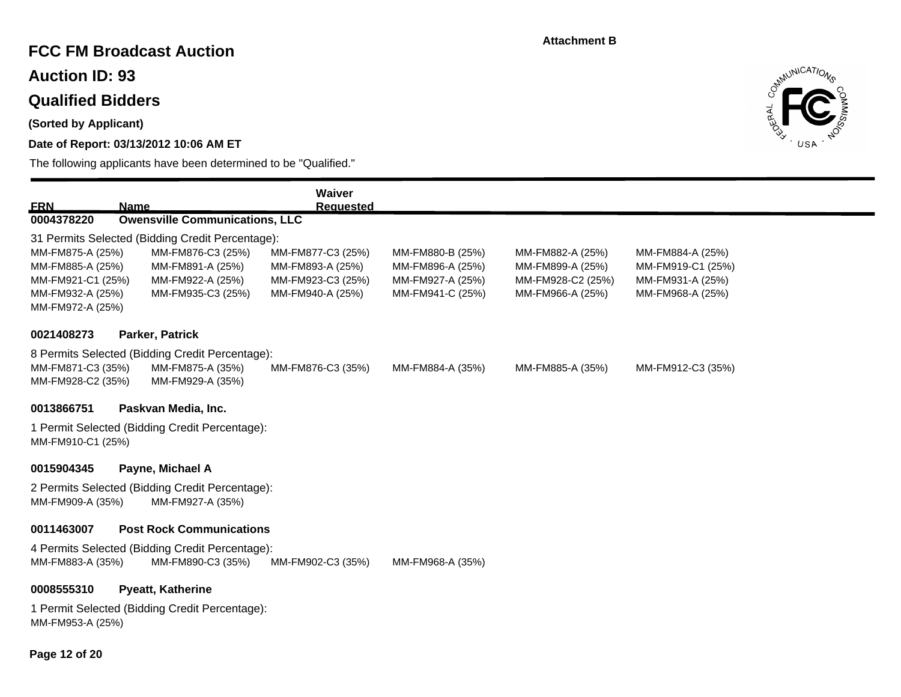## **FCC FM Broadcast Auction**

**Auction ID: 93**

## **Qualified Bidders**

**(Sorted by Applicant)**

### **Date of Report: 03/13/2012 10:06 AM ET**

The following applicants have been determined to be "Qualified."



|                                        |                                                  | Waiver            |                  |                   |                   |  |
|----------------------------------------|--------------------------------------------------|-------------------|------------------|-------------------|-------------------|--|
| <u>ERN</u>                             | <b>Name</b>                                      | <b>Requested</b>  |                  |                   |                   |  |
| 0004378220                             | <b>Owensville Communications, LLC</b>            |                   |                  |                   |                   |  |
|                                        | 31 Permits Selected (Bidding Credit Percentage): |                   |                  |                   |                   |  |
| MM-FM875-A (25%)                       | MM-FM876-C3 (25%)                                | MM-FM877-C3 (25%) | MM-FM880-B (25%) | MM-FM882-A (25%)  | MM-FM884-A (25%)  |  |
| MM-FM885-A (25%)                       | MM-FM891-A (25%)                                 | MM-FM893-A (25%)  | MM-FM896-A (25%) | MM-FM899-A (25%)  | MM-FM919-C1 (25%) |  |
| MM-FM921-C1 (25%)                      | MM-FM922-A (25%)                                 | MM-FM923-C3 (25%) | MM-FM927-A (25%) | MM-FM928-C2 (25%) | MM-FM931-A (25%)  |  |
| MM-FM932-A (25%)<br>MM-FM972-A (25%)   | MM-FM935-C3 (25%)                                | MM-FM940-A (25%)  | MM-FM941-C (25%) | MM-FM966-A (25%)  | MM-FM968-A (25%)  |  |
| 0021408273                             | Parker, Patrick                                  |                   |                  |                   |                   |  |
|                                        |                                                  |                   |                  |                   |                   |  |
|                                        | 8 Permits Selected (Bidding Credit Percentage):  |                   |                  |                   |                   |  |
| MM-FM871-C3 (35%)<br>MM-FM928-C2 (35%) | MM-FM875-A (35%)<br>MM-FM929-A (35%)             | MM-FM876-C3 (35%) | MM-FM884-A (35%) | MM-FM885-A (35%)  | MM-FM912-C3 (35%) |  |
| 0013866751                             | Paskvan Media, Inc.                              |                   |                  |                   |                   |  |
|                                        | 1 Permit Selected (Bidding Credit Percentage):   |                   |                  |                   |                   |  |
| MM-FM910-C1 (25%)                      |                                                  |                   |                  |                   |                   |  |
| 0015904345                             | Payne, Michael A                                 |                   |                  |                   |                   |  |
|                                        | 2 Permits Selected (Bidding Credit Percentage):  |                   |                  |                   |                   |  |
| MM-FM909-A (35%)                       | MM-FM927-A (35%)                                 |                   |                  |                   |                   |  |
| 0011463007                             | <b>Post Rock Communications</b>                  |                   |                  |                   |                   |  |
|                                        | 4 Permits Selected (Bidding Credit Percentage):  |                   |                  |                   |                   |  |
| MM-FM883-A (35%)                       | MM-FM890-C3 (35%)                                | MM-FM902-C3 (35%) | MM-FM968-A (35%) |                   |                   |  |
| 0008555310                             | <b>Pyeatt, Katherine</b>                         |                   |                  |                   |                   |  |
|                                        | 1 Permit Selected (Bidding Credit Percentage):   |                   |                  |                   |                   |  |
| MM-FM953-A (25%)                       |                                                  |                   |                  |                   |                   |  |

**Page 12 of 20**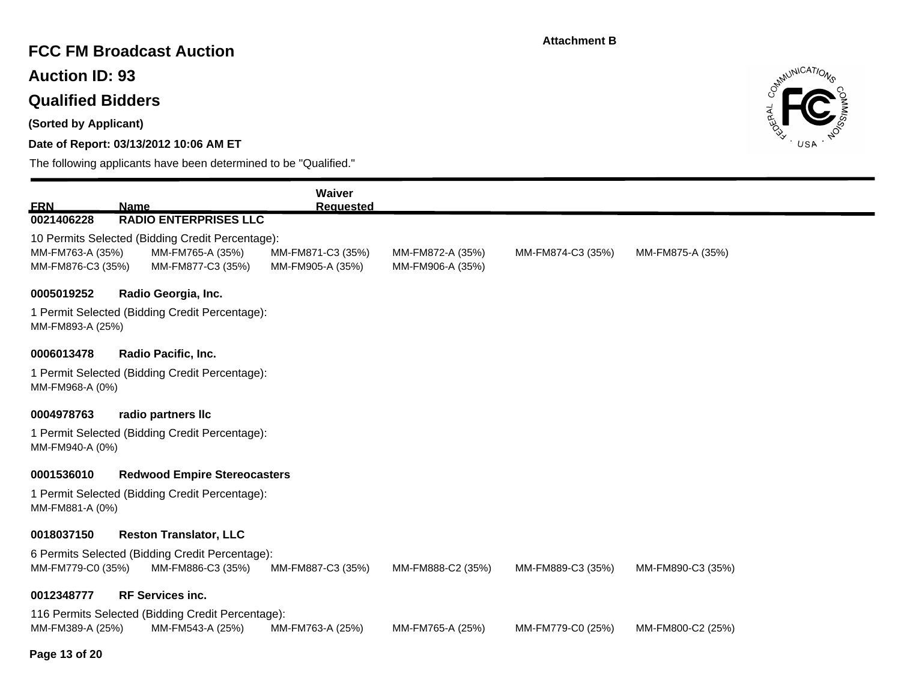## **FCC FM Broadcast Auction**

**Auction ID: 93**

# **Qualified Bidders**

**(Sorted by Applicant)**

### **Date of Report: 03/13/2012 10:06 AM ET**



| <b>ERN</b>        | <b>Name</b>                                                        |                                                   | Waiver<br><b>Requested</b> |                   |                   |                   |  |  |  |
|-------------------|--------------------------------------------------------------------|---------------------------------------------------|----------------------------|-------------------|-------------------|-------------------|--|--|--|
| 0021406228        |                                                                    | <b>RADIO ENTERPRISES LLC</b>                      |                            |                   |                   |                   |  |  |  |
|                   |                                                                    | 10 Permits Selected (Bidding Credit Percentage):  |                            |                   |                   |                   |  |  |  |
| MM-FM763-A (35%)  |                                                                    | MM-FM765-A (35%)                                  | MM-FM871-C3 (35%)          | MM-FM872-A (35%)  | MM-FM874-C3 (35%) | MM-FM875-A (35%)  |  |  |  |
| MM-FM876-C3 (35%) |                                                                    | MM-FM877-C3 (35%)                                 | MM-FM905-A (35%)           | MM-FM906-A (35%)  |                   |                   |  |  |  |
| 0005019252        |                                                                    | Radio Georgia, Inc.                               |                            |                   |                   |                   |  |  |  |
|                   | 1 Permit Selected (Bidding Credit Percentage):<br>MM-FM893-A (25%) |                                                   |                            |                   |                   |                   |  |  |  |
| 0006013478        |                                                                    | Radio Pacific, Inc.                               |                            |                   |                   |                   |  |  |  |
|                   |                                                                    | 1 Permit Selected (Bidding Credit Percentage):    |                            |                   |                   |                   |  |  |  |
| MM-FM968-A (0%)   |                                                                    |                                                   |                            |                   |                   |                   |  |  |  |
| 0004978763        |                                                                    | radio partners llc                                |                            |                   |                   |                   |  |  |  |
| MM-FM940-A (0%)   |                                                                    | 1 Permit Selected (Bidding Credit Percentage):    |                            |                   |                   |                   |  |  |  |
| 0001536010        |                                                                    | <b>Redwood Empire Stereocasters</b>               |                            |                   |                   |                   |  |  |  |
| MM-FM881-A (0%)   |                                                                    | 1 Permit Selected (Bidding Credit Percentage):    |                            |                   |                   |                   |  |  |  |
| 0018037150        |                                                                    | <b>Reston Translator, LLC</b>                     |                            |                   |                   |                   |  |  |  |
|                   |                                                                    | 6 Permits Selected (Bidding Credit Percentage):   |                            |                   |                   |                   |  |  |  |
| MM-FM779-C0 (35%) |                                                                    | MM-FM886-C3 (35%)                                 | MM-FM887-C3 (35%)          | MM-FM888-C2 (35%) | MM-FM889-C3 (35%) | MM-FM890-C3 (35%) |  |  |  |
| 0012348777        |                                                                    | <b>RF Services inc.</b>                           |                            |                   |                   |                   |  |  |  |
|                   |                                                                    | 116 Permits Selected (Bidding Credit Percentage): |                            |                   |                   |                   |  |  |  |
| MM-FM389-A (25%)  |                                                                    | MM-FM543-A (25%)                                  | MM-FM763-A (25%)           | MM-FM765-A (25%)  | MM-FM779-C0 (25%) | MM-FM800-C2 (25%) |  |  |  |
| Page 13 of 20     |                                                                    |                                                   |                            |                   |                   |                   |  |  |  |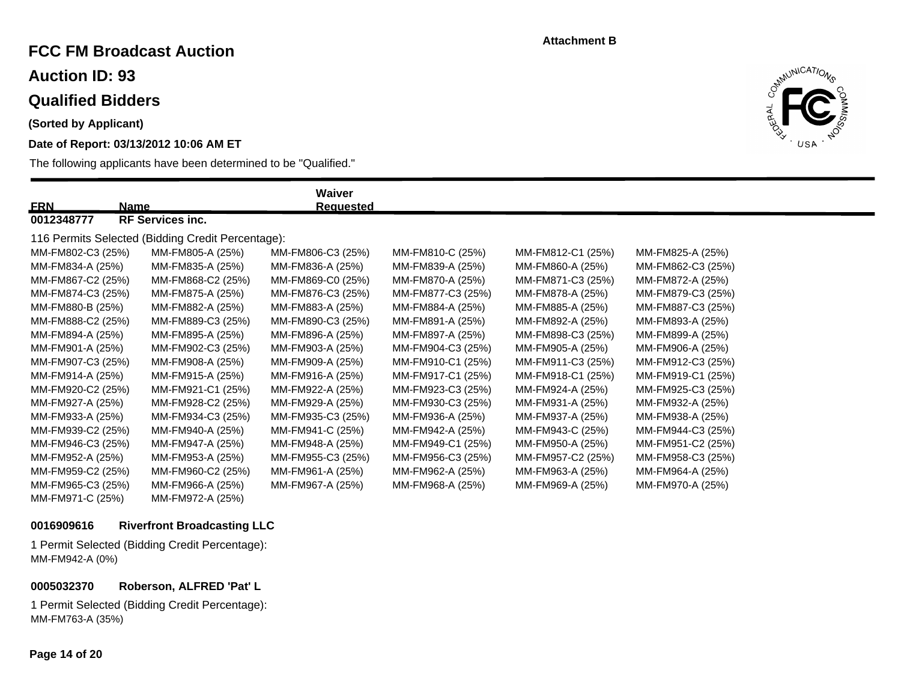## **FCC FM Broadcast Auction**

**Auction ID: 93**

### **Qualified Bidders**

**(Sorted by Applicant)**

### **Date of Report: 03/13/2012 10:06 AM ET**

The following applicants have been determined to be "Qualified."



| <b>ERN</b><br>Name                                |                         | Waiver<br><b>Requested</b> |                   |                   |                   |  |  |  |
|---------------------------------------------------|-------------------------|----------------------------|-------------------|-------------------|-------------------|--|--|--|
| 0012348777                                        | <b>RF Services inc.</b> |                            |                   |                   |                   |  |  |  |
| 116 Permits Selected (Bidding Credit Percentage): |                         |                            |                   |                   |                   |  |  |  |
| MM-FM802-C3 (25%)                                 | MM-FM805-A (25%)        | MM-FM806-C3 (25%)          | MM-FM810-C (25%)  | MM-FM812-C1 (25%) | MM-FM825-A (25%)  |  |  |  |
| MM-FM834-A (25%)                                  | MM-FM835-A (25%)        | MM-FM836-A (25%)           | MM-FM839-A (25%)  | MM-FM860-A (25%)  | MM-FM862-C3 (25%) |  |  |  |
| MM-FM867-C2 (25%)                                 | MM-FM868-C2 (25%)       | MM-FM869-C0 (25%)          | MM-FM870-A (25%)  | MM-FM871-C3 (25%) | MM-FM872-A (25%)  |  |  |  |
| MM-FM874-C3 (25%)                                 | MM-FM875-A (25%)        | MM-FM876-C3 (25%)          | MM-FM877-C3 (25%) | MM-FM878-A (25%)  | MM-FM879-C3 (25%) |  |  |  |
| MM-FM880-B (25%)                                  | MM-FM882-A (25%)        | MM-FM883-A (25%)           | MM-FM884-A (25%)  | MM-FM885-A (25%)  | MM-FM887-C3 (25%) |  |  |  |
| MM-FM888-C2 (25%)                                 | MM-FM889-C3 (25%)       | MM-FM890-C3 (25%)          | MM-FM891-A (25%)  | MM-FM892-A (25%)  | MM-FM893-A (25%)  |  |  |  |
| MM-FM894-A (25%)                                  | MM-FM895-A (25%)        | MM-FM896-A (25%)           | MM-FM897-A (25%)  | MM-FM898-C3 (25%) | MM-FM899-A (25%)  |  |  |  |
| MM-FM901-A (25%)                                  | MM-FM902-C3 (25%)       | MM-FM903-A (25%)           | MM-FM904-C3 (25%) | MM-FM905-A (25%)  | MM-FM906-A (25%)  |  |  |  |
| MM-FM907-C3 (25%)                                 | MM-FM908-A (25%)        | MM-FM909-A (25%)           | MM-FM910-C1 (25%) | MM-FM911-C3 (25%) | MM-FM912-C3 (25%) |  |  |  |
| MM-FM914-A (25%)                                  | MM-FM915-A (25%)        | MM-FM916-A (25%)           | MM-FM917-C1 (25%) | MM-FM918-C1 (25%) | MM-FM919-C1 (25%) |  |  |  |
| MM-FM920-C2 (25%)                                 | MM-FM921-C1 (25%)       | MM-FM922-A (25%)           | MM-FM923-C3 (25%) | MM-FM924-A (25%)  | MM-FM925-C3 (25%) |  |  |  |
| MM-FM927-A (25%)                                  | MM-FM928-C2 (25%)       | MM-FM929-A (25%)           | MM-FM930-C3 (25%) | MM-FM931-A (25%)  | MM-FM932-A (25%)  |  |  |  |
| MM-FM933-A (25%)                                  | MM-FM934-C3 (25%)       | MM-FM935-C3 (25%)          | MM-FM936-A (25%)  | MM-FM937-A (25%)  | MM-FM938-A (25%)  |  |  |  |
| MM-FM939-C2 (25%)                                 | MM-FM940-A (25%)        | MM-FM941-C (25%)           | MM-FM942-A (25%)  | MM-FM943-C (25%)  | MM-FM944-C3 (25%) |  |  |  |
| MM-FM946-C3 (25%)                                 | MM-FM947-A (25%)        | MM-FM948-A (25%)           | MM-FM949-C1 (25%) | MM-FM950-A (25%)  | MM-FM951-C2 (25%) |  |  |  |
| MM-FM952-A (25%)                                  | MM-FM953-A (25%)        | MM-FM955-C3 (25%)          | MM-FM956-C3 (25%) | MM-FM957-C2 (25%) | MM-FM958-C3 (25%) |  |  |  |
| MM-FM959-C2 (25%)                                 | MM-FM960-C2 (25%)       | MM-FM961-A (25%)           | MM-FM962-A (25%)  | MM-FM963-A (25%)  | MM-FM964-A (25%)  |  |  |  |
| MM-FM965-C3 (25%)                                 | MM-FM966-A (25%)        | MM-FM967-A (25%)           | MM-FM968-A (25%)  | MM-FM969-A (25%)  | MM-FM970-A (25%)  |  |  |  |
| MM-FM971-C (25%)                                  | MM-FM972-A (25%)        |                            |                   |                   |                   |  |  |  |

#### **0016909616 Riverfront Broadcasting LLC**

1 Permit Selected (Bidding Credit Percentage): MM-FM942-A (0%)

**0005032370 Roberson, ALFRED 'Pat' L**

1 Permit Selected (Bidding Credit Percentage): MM-FM763-A (35%)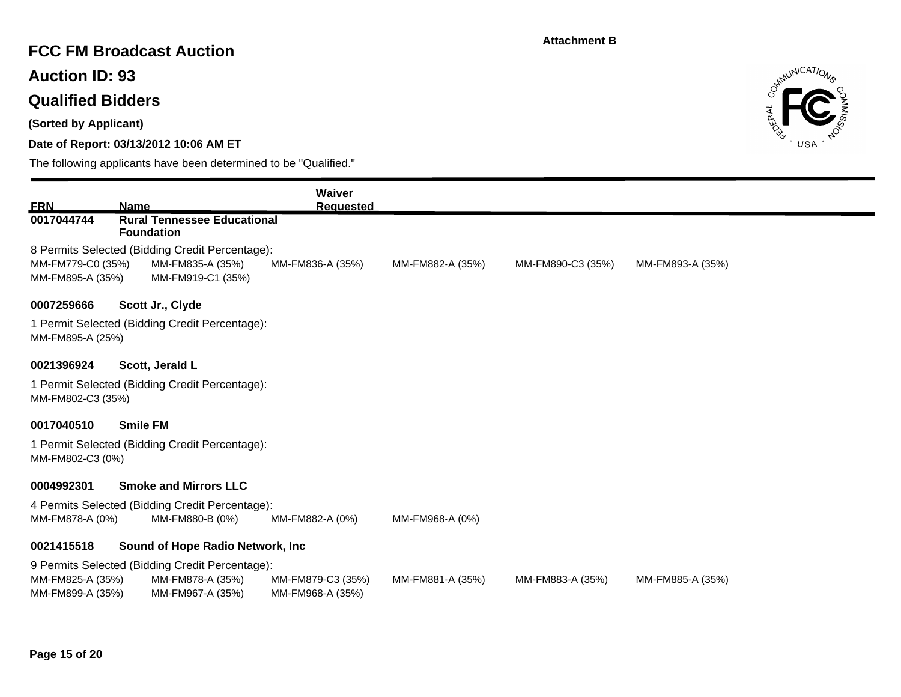## **FCC FM Broadcast Auction**

**Auction ID: 93**

# **Qualified Bidders**

**(Sorted by Applicant)**

### **Date of Report: 03/13/2012 10:06 AM ET**



| <b>FRN</b>                            | <b>Name</b>                                                                              | Waiver<br><b>Requested</b>            |                  |                   |                  |
|---------------------------------------|------------------------------------------------------------------------------------------|---------------------------------------|------------------|-------------------|------------------|
| 0017044744                            | <b>Rural Tennessee Educational</b><br><b>Foundation</b>                                  |                                       |                  |                   |                  |
| MM-FM779-C0 (35%)<br>MM-FM895-A (35%) | 8 Permits Selected (Bidding Credit Percentage):<br>MM-FM835-A (35%)<br>MM-FM919-C1 (35%) | MM-FM836-A (35%)                      | MM-FM882-A (35%) | MM-FM890-C3 (35%) | MM-FM893-A (35%) |
| 0007259666                            | Scott Jr., Clyde                                                                         |                                       |                  |                   |                  |
| MM-FM895-A (25%)                      | 1 Permit Selected (Bidding Credit Percentage):                                           |                                       |                  |                   |                  |
| 0021396924                            | Scott, Jerald L                                                                          |                                       |                  |                   |                  |
| MM-FM802-C3 (35%)                     | 1 Permit Selected (Bidding Credit Percentage):                                           |                                       |                  |                   |                  |
| 0017040510                            | <b>Smile FM</b>                                                                          |                                       |                  |                   |                  |
| MM-FM802-C3 (0%)                      | 1 Permit Selected (Bidding Credit Percentage):                                           |                                       |                  |                   |                  |
| 0004992301                            | <b>Smoke and Mirrors LLC</b>                                                             |                                       |                  |                   |                  |
| MM-FM878-A (0%)                       | 4 Permits Selected (Bidding Credit Percentage):<br>MM-FM880-B (0%)                       | MM-FM882-A (0%)                       | MM-FM968-A (0%)  |                   |                  |
| 0021415518                            | Sound of Hope Radio Network, Inc.                                                        |                                       |                  |                   |                  |
| MM-FM825-A (35%)<br>MM-FM899-A (35%)  | 9 Permits Selected (Bidding Credit Percentage):<br>MM-FM878-A (35%)<br>MM-FM967-A (35%)  | MM-FM879-C3 (35%)<br>MM-FM968-A (35%) | MM-FM881-A (35%) | MM-FM883-A (35%)  | MM-FM885-A (35%) |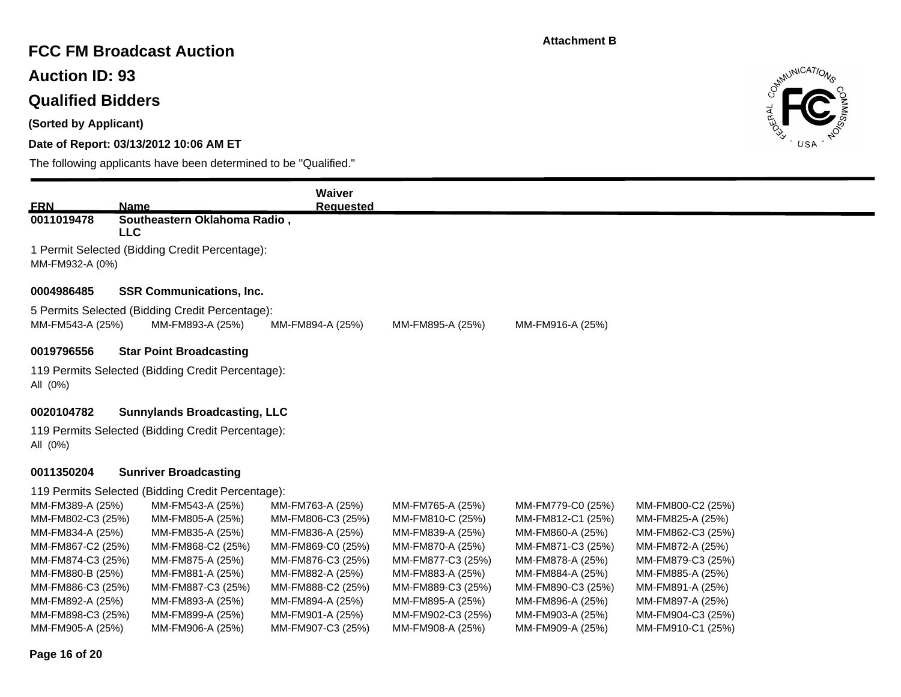# **FCC FM Broadcast Auction**

**Auction ID: 93**

### **Qualified Bidders**

**(Sorted by Applicant)**

### **Date of Report: 03/13/2012 10:06 AM ET**

The following applicants have been determined to be "Qualified."



|                   |                                                                     | Waiver            |                   |                   |                   |  |
|-------------------|---------------------------------------------------------------------|-------------------|-------------------|-------------------|-------------------|--|
| <b>ERN</b>        | <b>Name</b>                                                         | <b>Requested</b>  |                   |                   |                   |  |
| 0011019478        | Southeastern Oklahoma Radio,<br><b>LLC</b>                          |                   |                   |                   |                   |  |
| MM-FM932-A (0%)   | 1 Permit Selected (Bidding Credit Percentage):                      |                   |                   |                   |                   |  |
| 0004986485        | <b>SSR Communications, Inc.</b>                                     |                   |                   |                   |                   |  |
| MM-FM543-A (25%)  | 5 Permits Selected (Bidding Credit Percentage):<br>MM-FM893-A (25%) | MM-FM894-A (25%)  | MM-FM895-A (25%)  | MM-FM916-A (25%)  |                   |  |
| 0019796556        | <b>Star Point Broadcasting</b>                                      |                   |                   |                   |                   |  |
| All (0%)          | 119 Permits Selected (Bidding Credit Percentage):                   |                   |                   |                   |                   |  |
| 0020104782        | <b>Sunnylands Broadcasting, LLC</b>                                 |                   |                   |                   |                   |  |
| All (0%)          | 119 Permits Selected (Bidding Credit Percentage):                   |                   |                   |                   |                   |  |
| 0011350204        | <b>Sunriver Broadcasting</b>                                        |                   |                   |                   |                   |  |
|                   | 119 Permits Selected (Bidding Credit Percentage):                   |                   |                   |                   |                   |  |
| MM-FM389-A (25%)  | MM-FM543-A (25%)                                                    | MM-FM763-A (25%)  | MM-FM765-A (25%)  | MM-FM779-C0 (25%) | MM-FM800-C2 (25%) |  |
| MM-FM802-C3 (25%) | MM-FM805-A (25%)                                                    | MM-FM806-C3 (25%) | MM-FM810-C (25%)  | MM-FM812-C1 (25%) | MM-FM825-A (25%)  |  |
| MM-FM834-A (25%)  | MM-FM835-A (25%)                                                    | MM-FM836-A (25%)  | MM-FM839-A (25%)  | MM-FM860-A (25%)  | MM-FM862-C3 (25%) |  |
| MM-FM867-C2 (25%) | MM-FM868-C2 (25%)                                                   | MM-FM869-C0 (25%) | MM-FM870-A (25%)  | MM-FM871-C3 (25%) | MM-FM872-A (25%)  |  |
| MM-FM874-C3 (25%) | MM-FM875-A (25%)                                                    | MM-FM876-C3 (25%) | MM-FM877-C3 (25%) | MM-FM878-A (25%)  | MM-FM879-C3 (25%) |  |
| MM-FM880-B (25%)  | MM-FM881-A (25%)                                                    | MM-FM882-A (25%)  | MM-FM883-A (25%)  | MM-FM884-A (25%)  | MM-FM885-A (25%)  |  |
| MM-FM886-C3 (25%) | MM-FM887-C3 (25%)                                                   | MM-FM888-C2 (25%) | MM-FM889-C3 (25%) | MM-FM890-C3 (25%) | MM-FM891-A (25%)  |  |
| MM-FM892-A (25%)  | MM-FM893-A (25%)                                                    | MM-FM894-A (25%)  | MM-FM895-A (25%)  | MM-FM896-A (25%)  | MM-FM897-A (25%)  |  |
| MM-FM898-C3 (25%) | MM-FM899-A (25%)                                                    | MM-FM901-A (25%)  | MM-FM902-C3 (25%) | MM-FM903-A (25%)  | MM-FM904-C3 (25%) |  |

MM-FM905-A (25%) MM-FM906-A (25%) MM-FM907-C3 (25%) MM-FM908-A (25%) MM-FM909-A (25%) MM-FM910-C1 (25%)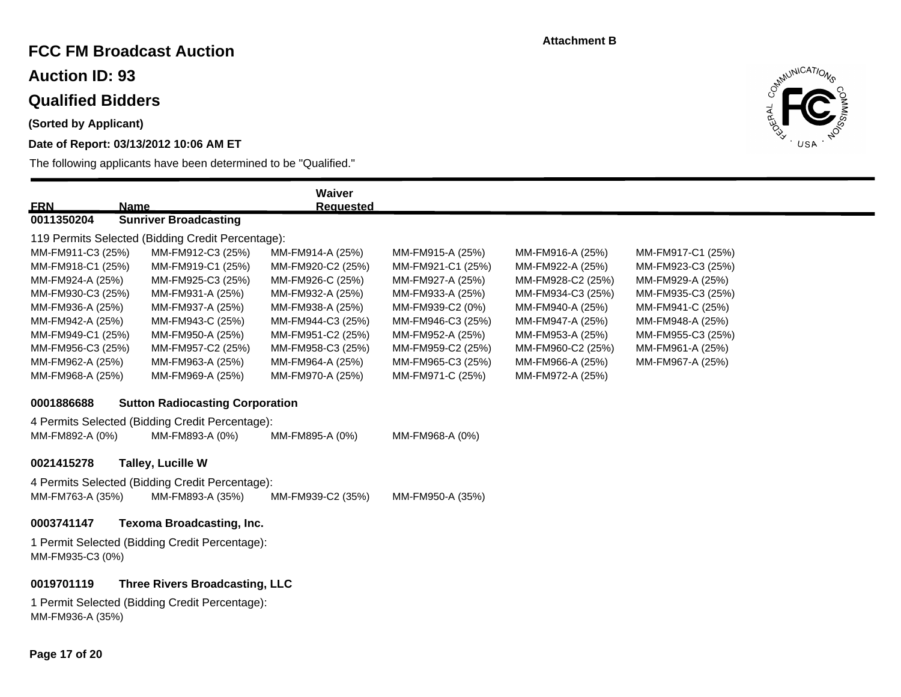## **FCC FM Broadcast Auction**

**Auction ID: 93**

# **Qualified Bidders**

**(Sorted by Applicant)**

### **Date of Report: 03/13/2012 10:06 AM ET**



| <b>ERN</b><br><b>Name</b>                                          |                                                   | Waiver<br><b>Requested</b> |                   |                   |                   |  |  |
|--------------------------------------------------------------------|---------------------------------------------------|----------------------------|-------------------|-------------------|-------------------|--|--|
| 0011350204                                                         | <b>Sunriver Broadcasting</b>                      |                            |                   |                   |                   |  |  |
|                                                                    | 119 Permits Selected (Bidding Credit Percentage): |                            |                   |                   |                   |  |  |
| MM-FM911-C3 (25%)                                                  | MM-FM912-C3 (25%)                                 | MM-FM914-A (25%)           | MM-FM915-A (25%)  | MM-FM916-A (25%)  | MM-FM917-C1 (25%) |  |  |
| MM-FM918-C1 (25%)                                                  | MM-FM919-C1 (25%)                                 | MM-FM920-C2 (25%)          | MM-FM921-C1 (25%) | MM-FM922-A (25%)  | MM-FM923-C3 (25%) |  |  |
| MM-FM924-A (25%)                                                   | MM-FM925-C3 (25%)                                 | MM-FM926-C (25%)           | MM-FM927-A (25%)  | MM-FM928-C2 (25%) | MM-FM929-A (25%)  |  |  |
| MM-FM930-C3 (25%)                                                  | MM-FM931-A (25%)                                  | MM-FM932-A (25%)           | MM-FM933-A (25%)  | MM-FM934-C3 (25%) | MM-FM935-C3 (25%) |  |  |
| MM-FM936-A (25%)                                                   | MM-FM937-A (25%)                                  | MM-FM938-A (25%)           | MM-FM939-C2 (0%)  | MM-FM940-A (25%)  | MM-FM941-C (25%)  |  |  |
| MM-FM942-A (25%)                                                   | MM-FM943-C (25%)                                  | MM-FM944-C3 (25%)          | MM-FM946-C3 (25%) | MM-FM947-A (25%)  | MM-FM948-A (25%)  |  |  |
| MM-FM949-C1 (25%)                                                  | MM-FM950-A (25%)                                  | MM-FM951-C2 (25%)          | MM-FM952-A (25%)  | MM-FM953-A (25%)  | MM-FM955-C3 (25%) |  |  |
| MM-FM956-C3 (25%)                                                  | MM-FM957-C2 (25%)                                 | MM-FM958-C3 (25%)          | MM-FM959-C2 (25%) | MM-FM960-C2 (25%) | MM-FM961-A (25%)  |  |  |
| MM-FM962-A (25%)                                                   | MM-FM963-A (25%)                                  | MM-FM964-A (25%)           | MM-FM965-C3 (25%) | MM-FM966-A (25%)  | MM-FM967-A (25%)  |  |  |
| MM-FM968-A (25%)                                                   | MM-FM969-A (25%)                                  | MM-FM970-A (25%)           | MM-FM971-C (25%)  | MM-FM972-A (25%)  |                   |  |  |
| 0001886688                                                         | <b>Sutton Radiocasting Corporation</b>            |                            |                   |                   |                   |  |  |
|                                                                    | 4 Permits Selected (Bidding Credit Percentage):   |                            |                   |                   |                   |  |  |
| MM-FM892-A (0%)                                                    | MM-FM893-A (0%)                                   | MM-FM895-A (0%)            | MM-FM968-A (0%)   |                   |                   |  |  |
| 0021415278                                                         | <b>Talley, Lucille W</b>                          |                            |                   |                   |                   |  |  |
|                                                                    | 4 Permits Selected (Bidding Credit Percentage):   |                            |                   |                   |                   |  |  |
| MM-FM763-A (35%)                                                   | MM-FM893-A (35%)                                  | MM-FM939-C2 (35%)          | MM-FM950-A (35%)  |                   |                   |  |  |
| 0003741147                                                         | <b>Texoma Broadcasting, Inc.</b>                  |                            |                   |                   |                   |  |  |
| 1 Permit Selected (Bidding Credit Percentage):<br>MM-FM935-C3 (0%) |                                                   |                            |                   |                   |                   |  |  |
|                                                                    |                                                   |                            |                   |                   |                   |  |  |
| 0019701119                                                         | <b>Three Rivers Broadcasting, LLC</b>             |                            |                   |                   |                   |  |  |
| 1 Permit Selected (Bidding Credit Percentage):<br>MM-FM936-A (35%) |                                                   |                            |                   |                   |                   |  |  |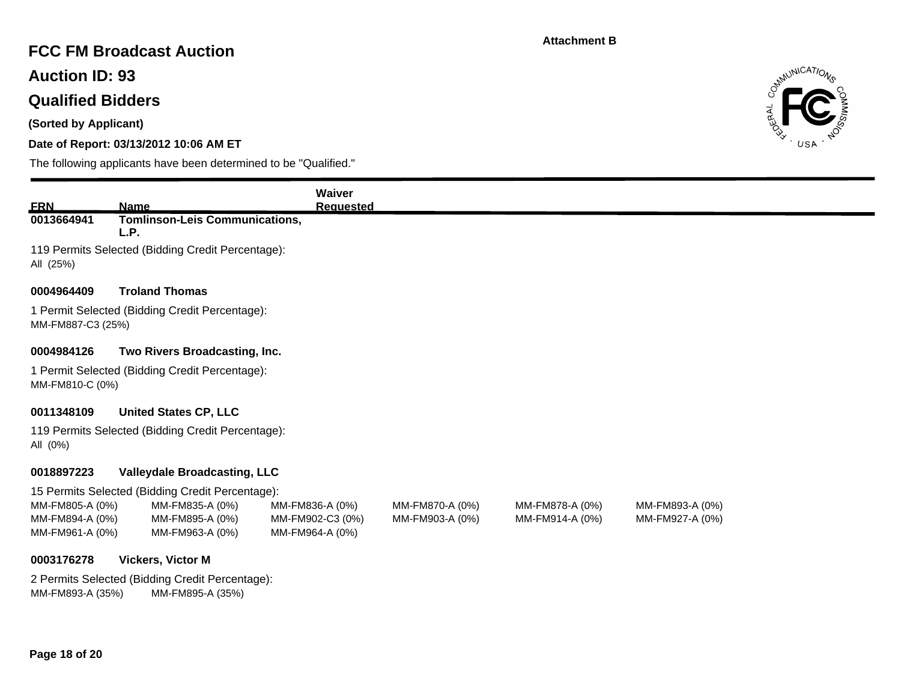### **FCC FM Broadcast Auction**

**Auction ID: 93**

## **Qualified Bidders**

**(Sorted by Applicant)**

### **Date of Report: 03/13/2012 10:06 AM ET**



| <b>ERN</b>                                            | <b>Name</b>                                                         | Waiver<br><b>Requested</b>                             |                                    |                                    |                                    |
|-------------------------------------------------------|---------------------------------------------------------------------|--------------------------------------------------------|------------------------------------|------------------------------------|------------------------------------|
| 0013664941                                            | <b>Tomlinson-Leis Communications,</b><br>L.P.                       |                                                        |                                    |                                    |                                    |
| All (25%)                                             | 119 Permits Selected (Bidding Credit Percentage):                   |                                                        |                                    |                                    |                                    |
| 0004964409                                            | <b>Troland Thomas</b>                                               |                                                        |                                    |                                    |                                    |
| MM-FM887-C3 (25%)                                     | 1 Permit Selected (Bidding Credit Percentage):                      |                                                        |                                    |                                    |                                    |
| 0004984126                                            | Two Rivers Broadcasting, Inc.                                       |                                                        |                                    |                                    |                                    |
| MM-FM810-C (0%)                                       | 1 Permit Selected (Bidding Credit Percentage):                      |                                                        |                                    |                                    |                                    |
| 0011348109                                            | <b>United States CP, LLC</b>                                        |                                                        |                                    |                                    |                                    |
| All (0%)                                              | 119 Permits Selected (Bidding Credit Percentage):                   |                                                        |                                    |                                    |                                    |
| 0018897223                                            | <b>Valleydale Broadcasting, LLC</b>                                 |                                                        |                                    |                                    |                                    |
|                                                       | 15 Permits Selected (Bidding Credit Percentage):                    |                                                        |                                    |                                    |                                    |
| MM-FM805-A (0%)<br>MM-FM894-A (0%)<br>MM-FM961-A (0%) | MM-FM835-A (0%)<br>MM-FM895-A (0%)<br>MM-FM963-A (0%)               | MM-FM836-A (0%)<br>MM-FM902-C3 (0%)<br>MM-FM964-A (0%) | MM-FM870-A (0%)<br>MM-FM903-A (0%) | MM-FM878-A (0%)<br>MM-FM914-A (0%) | MM-FM893-A (0%)<br>MM-FM927-A (0%) |
| 0003176278                                            | Vickers, Victor M                                                   |                                                        |                                    |                                    |                                    |
| MM-FM893-A (35%)                                      | 2 Permits Selected (Bidding Credit Percentage):<br>MM-FM895-A (35%) |                                                        |                                    |                                    |                                    |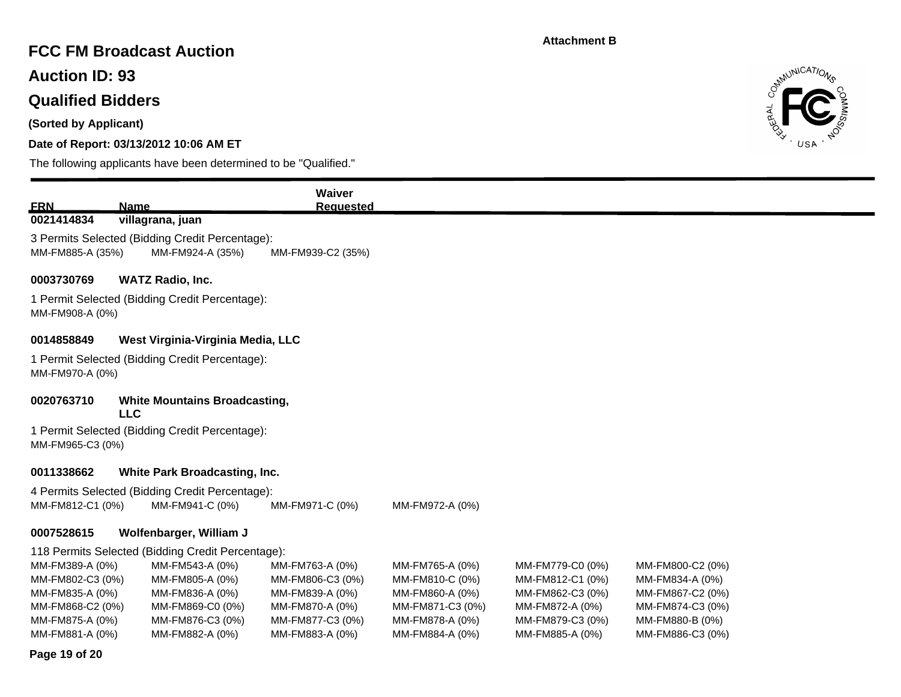### **FCC FM Broadcast Auction**

**Auction ID: 93**

# **Qualified Bidders**

**(Sorted by Applicant)**

### **Date of Report: 03/13/2012 10:06 AM ET**

The following applicants have been determined to be "Qualified."



|                                     |                                                                                                              | <b>Waiver</b>                       |                                    |                                      |                                     |  |  |  |
|-------------------------------------|--------------------------------------------------------------------------------------------------------------|-------------------------------------|------------------------------------|--------------------------------------|-------------------------------------|--|--|--|
| <b>ERN</b><br>0021414834            | Name<br>villagrana, juan                                                                                     | <b>Requested</b>                    |                                    |                                      |                                     |  |  |  |
|                                     | 3 Permits Selected (Bidding Credit Percentage):<br>MM-FM885-A (35%)<br>MM-FM924-A (35%)<br>MM-FM939-C2 (35%) |                                     |                                    |                                      |                                     |  |  |  |
| 0003730769                          | <b>WATZ Radio, Inc.</b>                                                                                      |                                     |                                    |                                      |                                     |  |  |  |
| MM-FM908-A (0%)                     | 1 Permit Selected (Bidding Credit Percentage):                                                               |                                     |                                    |                                      |                                     |  |  |  |
| 0014858849                          | West Virginia-Virginia Media, LLC                                                                            |                                     |                                    |                                      |                                     |  |  |  |
| MM-FM970-A (0%)                     | 1 Permit Selected (Bidding Credit Percentage):                                                               |                                     |                                    |                                      |                                     |  |  |  |
| 0020763710                          | <b>White Mountains Broadcasting,</b><br><b>LLC</b>                                                           |                                     |                                    |                                      |                                     |  |  |  |
| MM-FM965-C3 (0%)                    | 1 Permit Selected (Bidding Credit Percentage):                                                               |                                     |                                    |                                      |                                     |  |  |  |
| 0011338662                          | White Park Broadcasting, Inc.                                                                                |                                     |                                    |                                      |                                     |  |  |  |
|                                     | 4 Permits Selected (Bidding Credit Percentage):                                                              |                                     |                                    |                                      |                                     |  |  |  |
| MM-FM812-C1 (0%)                    | MM-FM941-C (0%)                                                                                              | MM-FM971-C (0%)                     | MM-FM972-A (0%)                    |                                      |                                     |  |  |  |
| 0007528615                          | Wolfenbarger, William J                                                                                      |                                     |                                    |                                      |                                     |  |  |  |
|                                     | 118 Permits Selected (Bidding Credit Percentage):                                                            |                                     |                                    |                                      |                                     |  |  |  |
| MM-FM389-A (0%)                     | MM-FM543-A (0%)                                                                                              | MM-FM763-A (0%)                     | MM-FM765-A (0%)                    | MM-FM779-C0 (0%)                     | MM-FM800-C2 (0%)                    |  |  |  |
| MM-FM802-C3 (0%)<br>MM-FM835-A (0%) | MM-FM805-A (0%)<br>MM-FM836-A (0%)                                                                           | MM-FM806-C3 (0%)<br>MM-FM839-A (0%) | MM-FM810-C (0%)<br>MM-FM860-A (0%) | MM-FM812-C1 (0%)<br>MM-FM862-C3 (0%) | MM-FM834-A (0%)<br>MM-FM867-C2 (0%) |  |  |  |
| MM-FM868-C2 (0%)                    | MM-FM869-C0 (0%)                                                                                             | MM-FM870-A (0%)                     | MM-FM871-C3 (0%)                   | MM-FM872-A (0%)                      | MM-FM874-C3 (0%)                    |  |  |  |
| MM-FM875-A (0%)                     | MM-FM876-C3 (0%)                                                                                             | MM-FM877-C3 (0%)                    | MM-FM878-A (0%)                    | MM-FM879-C3 (0%)                     | MM-FM880-B (0%)                     |  |  |  |
| MM-FM881-A (0%)                     | MM-FM882-A (0%)                                                                                              | MM-FM883-A (0%)                     | MM-FM884-A (0%)                    | MM-FM885-A (0%)                      | MM-FM886-C3 (0%)                    |  |  |  |

#### **Page 19 of 20**